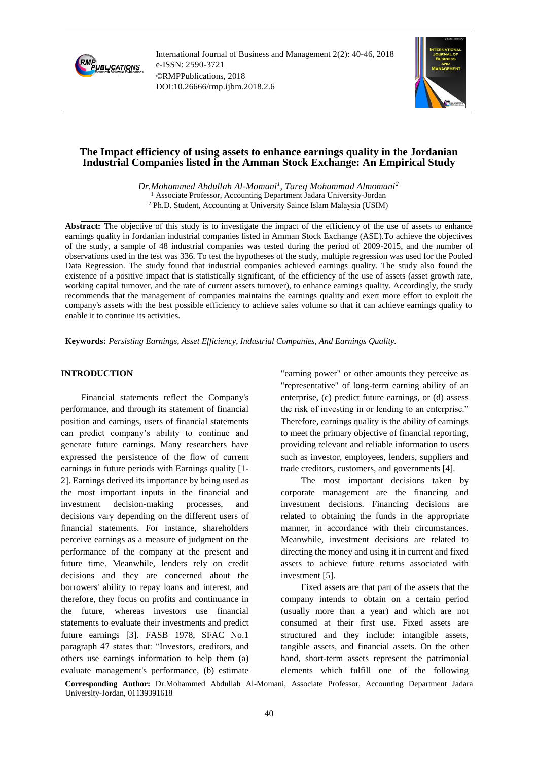

International Journal of Business and Management 2(2): 40-46, 2018 e-ISSN: 2590-3721 ©RMPPublications, 2018 DOI:10.26666/rmp.ijbm.2018.2.6



# **The Impact efficiency of using assets to enhance earnings quality in the Jordanian Industrial Companies listed in the Amman Stock Exchange: An Empirical Study**

*Dr.Mohammed Abdullah Al-Momani<sup>1</sup> , Tareq Mohammad Almomani<sup>2</sup>* <sup>1</sup> Associate Professor, Accounting Department Jadara University-Jordan <sup>2</sup> Ph.D. Student, Accounting at University Saince Islam Malaysia (USIM)

Abstract: The objective of this study is to investigate the impact of the efficiency of the use of assets to enhance earnings quality in Jordanian industrial companies listed in Amman Stock Exchange (ASE).To achieve the objectives of the study, a sample of 48 industrial companies was tested during the period of 2009-2015, and the number of observations used in the test was 336. To test the hypotheses of the study, multiple regression was used for the Pooled Data Regression. The study found that industrial companies achieved earnings quality. The study also found the existence of a positive impact that is statistically significant, of the efficiency of the use of assets (asset growth rate, working capital turnover, and the rate of current assets turnover), to enhance earnings quality. Accordingly, the study recommends that the management of companies maintains the earnings quality and exert more effort to exploit the company's assets with the best possible efficiency to achieve sales volume so that it can achieve earnings quality to enable it to continue its activities.

### **Keywords:** *Persisting Earnings, Asset Efficiency, Industrial Companies, And Earnings Quality.*

### **INTRODUCTION**

Financial statements reflect the Company's performance, and through its statement of financial position and earnings, users of financial statements can predict company's ability to continue and generate future earnings. Many researchers have expressed the persistence of the flow of current earnings in future periods with Earnings quality [1- 2]. Earnings derived its importance by being used as the most important inputs in the financial and investment decision-making processes, and decisions vary depending on the different users of financial statements. For instance, shareholders perceive earnings as a measure of judgment on the performance of the company at the present and future time. Meanwhile, lenders rely on credit decisions and they are concerned about the borrowers' ability to repay loans and interest, and therefore, they focus on profits and continuance in the future, whereas investors use financial statements to evaluate their investments and predict future earnings [3]. FASB 1978, SFAC No.1 paragraph 47 states that: "Investors, creditors, and others use earnings information to help them (a) evaluate management's performance, (b) estimate

"earning power" or other amounts they perceive as "representative" of long-term earning ability of an enterprise, (c) predict future earnings, or (d) assess the risk of investing in or lending to an enterprise." Therefore, earnings quality is the ability of earnings to meet the primary objective of financial reporting, providing relevant and reliable information to users such as investor, employees, lenders, suppliers and trade creditors, customers, and governments [4].

The most important decisions taken by corporate management are the financing and investment decisions. Financing decisions are related to obtaining the funds in the appropriate manner, in accordance with their circumstances. Meanwhile, investment decisions are related to directing the money and using it in current and fixed assets to achieve future returns associated with investment [5].

Fixed assets are that part of the assets that the company intends to obtain on a certain period (usually more than a year) and which are not consumed at their first use. Fixed assets are structured and they include: intangible assets, tangible assets, and financial assets. On the other hand, short-term assets represent the patrimonial elements which fulfill one of the following

**Corresponding Author:** Dr.Mohammed Abdullah Al-Momani, Associate Professor, Accounting Department Jadara University-Jordan, 01139391618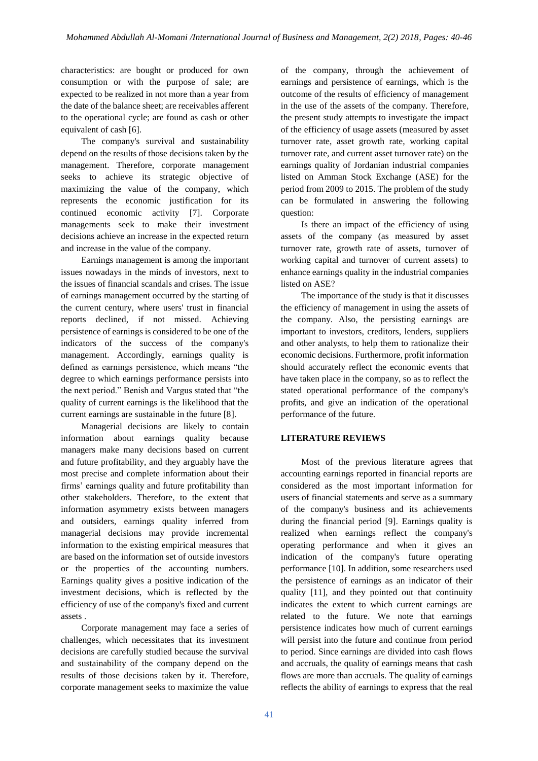characteristics: are bought or produced for own consumption or with the purpose of sale; are expected to be realized in not more than a year from the date of the balance sheet; are receivables afferent to the operational cycle; are found as cash or other equivalent of cash [6].

The company's survival and sustainability depend on the results of those decisions taken by the management. Therefore, corporate management seeks to achieve its strategic objective of maximizing the value of the company, which represents the economic justification for its continued economic activity [7]. Corporate managements seek to make their investment decisions achieve an increase in the expected return and increase in the value of the company.

Earnings management is among the important issues nowadays in the minds of investors, next to the issues of financial scandals and crises. The issue of earnings management occurred by the starting of the current century, where users' trust in financial reports declined, if not missed. Achieving persistence of earnings is considered to be one of the indicators of the success of the company's management. Accordingly, earnings quality is defined as earnings persistence, which means "the degree to which earnings performance persists into the next period." Benish and Vargus stated that "the quality of current earnings is the likelihood that the current earnings are sustainable in the future [8].

Managerial decisions are likely to contain information about earnings quality because managers make many decisions based on current and future profitability, and they arguably have the most precise and complete information about their firms' earnings quality and future profitability than other stakeholders. Therefore, to the extent that information asymmetry exists between managers and outsiders, earnings quality inferred from managerial decisions may provide incremental information to the existing empirical measures that are based on the information set of outside investors or the properties of the accounting numbers. Earnings quality gives a positive indication of the investment decisions, which is reflected by the efficiency of use of the company's fixed and current assets .

Corporate management may face a series of challenges, which necessitates that its investment decisions are carefully studied because the survival and sustainability of the company depend on the results of those decisions taken by it. Therefore, corporate management seeks to maximize the value

of the company, through the achievement of earnings and persistence of earnings, which is the outcome of the results of efficiency of management in the use of the assets of the company. Therefore, the present study attempts to investigate the impact of the efficiency of usage assets (measured by asset turnover rate, asset growth rate, working capital turnover rate, and current asset turnover rate) on the earnings quality of Jordanian industrial companies listed on Amman Stock Exchange (ASE) for the period from 2009 to 2015. The problem of the study can be formulated in answering the following question:

Is there an impact of the efficiency of using assets of the company (as measured by asset turnover rate, growth rate of assets, turnover of working capital and turnover of current assets) to enhance earnings quality in the industrial companies listed on ASE?

The importance of the study is that it discusses the efficiency of management in using the assets of the company. Also, the persisting earnings are important to investors, creditors, lenders, suppliers and other analysts, to help them to rationalize their economic decisions. Furthermore, profit information should accurately reflect the economic events that have taken place in the company, so as to reflect the stated operational performance of the company's profits, and give an indication of the operational performance of the future.

# **LITERATURE REVIEWS**

Most of the previous literature agrees that accounting earnings reported in financial reports are considered as the most important information for users of financial statements and serve as a summary of the company's business and its achievements during the financial period [9]. Earnings quality is realized when earnings reflect the company's operating performance and when it gives an indication of the company's future operating performance [10]. In addition, some researchers used the persistence of earnings as an indicator of their quality [11], and they pointed out that continuity indicates the extent to which current earnings are related to the future. We note that earnings persistence indicates how much of current earnings will persist into the future and continue from period to period. Since earnings are divided into cash flows and accruals, the quality of earnings means that cash flows are more than accruals. The quality of earnings reflects the ability of earnings to express that the real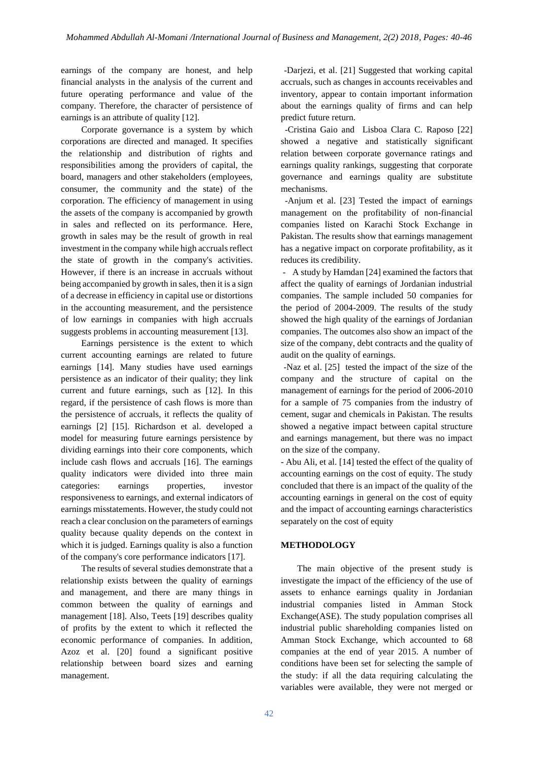earnings of the company are honest, and help financial analysts in the analysis of the current and future operating performance and value of the company. Therefore, the character of persistence of earnings is an attribute of quality [12].

Corporate governance is a system by which corporations are directed and managed. It specifies the relationship and distribution of rights and responsibilities among the providers of capital, the board, managers and other stakeholders (employees, consumer, the community and the state) of the corporation. The efficiency of management in using the assets of the company is accompanied by growth in sales and reflected on its performance. Here, growth in sales may be the result of growth in real investment in the company while high accruals reflect the state of growth in the company's activities. However, if there is an increase in accruals without being accompanied by growth in sales, then it is a sign of a decrease in efficiency in capital use or distortions in the accounting measurement, and the persistence of low earnings in companies with high accruals suggests problems in accounting measurement [13].

Earnings persistence is the extent to which current accounting earnings are related to future earnings [14]. Many studies have used earnings persistence as an indicator of their quality; they link current and future earnings, such as [12]. In this regard, if the persistence of cash flows is more than the persistence of accruals, it reflects the quality of earnings [2] [15]. Richardson et al. developed a model for measuring future earnings persistence by dividing earnings into their core components, which include cash flows and accruals [16]. The earnings quality indicators were divided into three main categories: earnings properties, investor responsiveness to earnings, and external indicators of earnings misstatements. However, the study could not reach a clear conclusion on the parameters of earnings quality because quality depends on the context in which it is judged. Earnings quality is also a function of the company's core performance indicators [17].

The results of several studies demonstrate that a relationship exists between the quality of earnings and management, and there are many things in common between the quality of earnings and management [18]. Also, Teets [19] describes quality of profits by the extent to which it reflected the economic performance of companies. In addition, Azoz et al. [20] found a significant positive relationship between board sizes and earning management.

-Darjezi, et al. [21] Suggested that working capital accruals, such as changes in accounts receivables and inventory, appear to contain important information about the earnings quality of firms and can help predict future return.

-Cristina Gaio and Lisboa Clara C. Raposo [22] showed a negative and statistically significant relation between corporate governance ratings and earnings quality rankings, suggesting that corporate governance and earnings quality are substitute mechanisms.

-Anjum et al. [23] Tested the impact of earnings management on the profitability of non-financial companies listed on Karachi Stock Exchange in Pakistan. The results show that earnings management has a negative impact on corporate profitability, as it reduces its credibility.

- A study by Hamdan [24] examined the factors that affect the quality of earnings of Jordanian industrial companies. The sample included 50 companies for the period of 2004-2009. The results of the study showed the high quality of the earnings of Jordanian companies. The outcomes also show an impact of the size of the company, debt contracts and the quality of audit on the quality of earnings.

-Naz et al. [25] tested the impact of the size of the company and the structure of capital on the management of earnings for the period of 2006-2010 for a sample of 75 companies from the industry of cement, sugar and chemicals in Pakistan. The results showed a negative impact between capital structure and earnings management, but there was no impact on the size of the company.

- Abu Ali, et al. [14] tested the effect of the quality of accounting earnings on the cost of equity. The study concluded that there is an impact of the quality of the accounting earnings in general on the cost of equity and the impact of accounting earnings characteristics separately on the cost of equity

# **METHODOLOGY**

The main objective of the present study is investigate the impact of the efficiency of the use of assets to enhance earnings quality in Jordanian industrial companies listed in Amman Stock Exchange(ASE). The study population comprises all industrial public shareholding companies listed on Amman Stock Exchange, which accounted to 68 companies at the end of year 2015. A number of conditions have been set for selecting the sample of the study: if all the data requiring calculating the variables were available, they were not merged or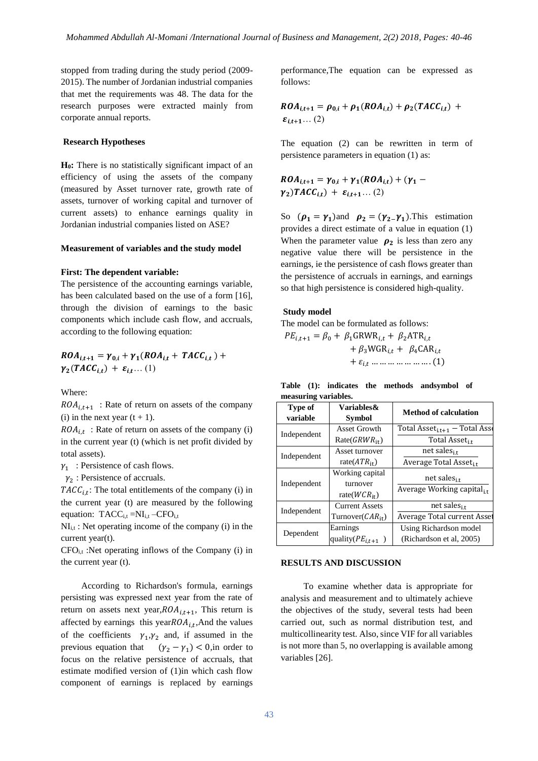stopped from trading during the study period (2009- 2015). The number of Jordanian industrial companies that met the requirements was 48. The data for the research purposes were extracted mainly from corporate annual reports.

#### **Research Hypotheses**

**H0:** There is no statistically significant impact of an efficiency of using the assets of the company (measured by Asset turnover rate, growth rate of assets, turnover of working capital and turnover of current assets) to enhance earnings quality in Jordanian industrial companies listed on ASE?

#### **Measurement of variables and the study model**

### **First: The dependent variable:**

The persistence of the accounting earnings variable, has been calculated based on the use of a form [16], through the division of earnings to the basic components which include cash flow, and accruals, according to the following equation:

$$
ROA_{i,t+1} = \gamma_{0,i} + \gamma_1 (ROA_{i,t} + TACC_{i,t}) +
$$
  
\n
$$
\gamma_2 (TACC_{i,t}) + \varepsilon_{i,t} ... (1)
$$

Where:

 $ROA_{i,t+1}$ : Rate of return on assets of the company (i) in the next year  $(t + 1)$ .

 $ROA_{i,t}$ : Rate of return on assets of the company (i) in the current year (t) (which is net profit divided by total assets).

 $\gamma_1$ : Persistence of cash flows.

 $\gamma_2$ : Persistence of accruals.

 $TACC_{i,t}$ : The total entitlements of the company (i) in the current year (t) are measured by the following equation:  $TACC_{i,t} = NI_{i,t} - CFO_{i,t}$ 

 $NI<sub>i,t</sub>$ : Net operating income of the company (i) in the current year(t).

 $CFO_{it}$ : Net operating inflows of the Company (i) in the current year (t).

According to Richardson's formula, earnings persisting was expressed next year from the rate of return on assets next year,  $ROA_{i,t+1}$ , This return is affected by earnings this year  $ROA_{i,t}$ , And the values of the coefficients  $\gamma_1, \gamma_2$  and, if assumed in the previous equation that  $(\gamma_2 - \gamma_1) < 0$ , in order to focus on the relative persistence of accruals, that estimate modified version of (1)in which cash flow component of earnings is replaced by earnings

performance,The equation can be expressed as follows:

$$
ROA_{i,t+1} = \rho_{0,i} + \rho_1(ROA_{i,t}) + \rho_2(TACC_{i,t}) + \varepsilon_{i,t+1} \dots (2)
$$

The equation (2) can be rewritten in term of persistence parameters in equation (1) as:

$$
ROA_{i,t+1} = \gamma_{0,i} + \gamma_1(ROA_{i,t}) + (\gamma_1 - \gamma_2)TACC_{i,t}) + \varepsilon_{i,t+1} ... (2)
$$

So  $(\rho_1 = \gamma_1)$ and  $\rho_2 = (\gamma_2 - \gamma_1)$ . This estimation provides a direct estimate of a value in equation (1) When the parameter value  $\rho_2$  is less than zero any negative value there will be persistence in the earnings, ie the persistence of cash flows greater than the persistence of accruals in earnings, and earnings so that high persistence is considered high-quality.

### **Study model**

The model can be formulated as follows:

$$
PE_{i,t+1} = \beta_0 + \beta_1 \text{GRWR}_{i,t} + \beta_2 \text{ATR}_{i,t} + \beta_3 \text{WGR}_{i,t} + \beta_4 \text{CAR}_{i,t} + \varepsilon_{i,t} \dots \dots \dots \dots \dots \dots \dots (1)
$$

**Table (1): indicates the methods andsymbol of measuring variables.**

| Type of<br>variable                                            | Variables&<br><b>Symbol</b>                       | <b>Method of calculation</b>                                          |
|----------------------------------------------------------------|---------------------------------------------------|-----------------------------------------------------------------------|
| Independent                                                    | Asset Growth<br>$Rate(GRWR_{it})$                 | Total Asset <sub>i.t+1</sub> – Total Ass<br>Total Asset <sub>it</sub> |
| Independent                                                    | Asset turnover<br>rate( $ATR_{it}$ )              | net sales <sub>it</sub><br>Average Total Asset <sub>it</sub>          |
| Independent                                                    | Working capital<br>turnover<br>rate( $WCR_{it}$ ) | net sales <sub>it</sub><br>Average Working capital <sub>it</sub>      |
| <b>Current Assets</b><br>Independent<br>Turnover( $CAR_{it}$ ) |                                                   | net sales <sub>it</sub><br>Average Total current Asset                |
| Dependent                                                      | Earnings<br>quality( $PE_{i,t+1}$ )               | Using Richardson model<br>(Richardson et al, 2005)                    |

#### **RESULTS AND DISCUSSION**

To examine whether data is appropriate for analysis and measurement and to ultimately achieve the objectives of the study, several tests had been carried out, such as normal distribution test, and multicollinearity test. Also, since VIF for all variables is not more than 5, no overlapping is available among variables [26].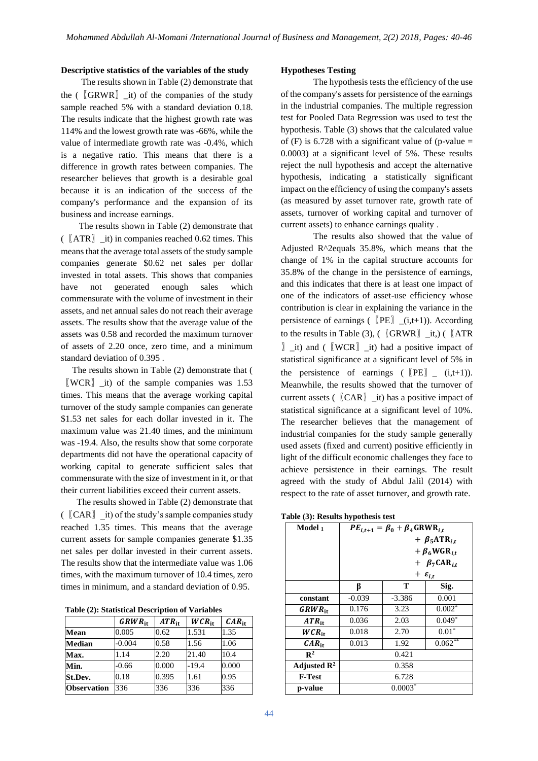#### **Descriptive statistics of the variables of the study**

The results shown in Table (2) demonstrate that the ( $\sqrt{GRWR}$ ) it) of the companies of the study sample reached 5% with a standard deviation 0.18. The results indicate that the highest growth rate was 114% and the lowest growth rate was -66%, while the value of intermediate growth rate was -0.4%, which is a negative ratio. This means that there is a difference in growth rates between companies. The researcher believes that growth is a desirable goal because it is an indication of the success of the company's performance and the expansion of its business and increase earnings.

 The results shown in Table (2) demonstrate that  $(\overline{[ATR]}$  it) in companies reached 0.62 times. This means that the average total assets of the study sample companies generate \$0.62 net sales per dollar invested in total assets. This shows that companies have not generated enough sales which commensurate with the volume of investment in their assets, and net annual sales do not reach their average assets. The results show that the average value of the assets was 0.58 and recorded the maximum turnover of assets of 2.20 once, zero time, and a minimum standard deviation of 0.395 .

 The results shown in Table (2) demonstrate that ( 〖WCR〗\_it) of the sample companies was 1.53 times. This means that the average working capital turnover of the study sample companies can generate \$1.53 net sales for each dollar invested in it. The maximum value was 21.40 times, and the minimum was -19.4. Also, the results show that some corporate departments did not have the operational capacity of working capital to generate sufficient sales that commensurate with the size of investment in it, or that their current liabilities exceed their current assets.

 The results showed in Table (2) demonstrate that  $(\llbracket \text{CAR} \rrbracket$  it) of the study's sample companies study reached 1.35 times. This means that the average current assets for sample companies generate \$1.35 net sales per dollar invested in their current assets. The results show that the intermediate value was 1.06 times, with the maximum turnover of 10.4 times, zero times in minimum, and a standard deviation of 0.95.

**Table (2): Statistical Description of Variables**

|                    | $GRWR_{it}$ | $ATR_{it}$ | $WCR_{it}$ | $CAR_{it}$ |
|--------------------|-------------|------------|------------|------------|
| <b>Mean</b>        | 0.005       | 0.62       | 1.531      | 1.35       |
| <b>Median</b>      | $-0.004$    | 0.58       | 1.56       | 1.06       |
| Max.               | 1.14        | 2.20       | 21.40      | 10.4       |
| Min.               | $-0.66$     | 0.000      | $-19.4$    | 0.000      |
| St.Dev.            | 0.18        | 0.395      | 1.61       | 0.95       |
| <b>Observation</b> | 336         | 336        | 336        | 336        |

#### **Hypotheses Testing**

The hypothesis tests the efficiency of the use of the company's assets for persistence of the earnings in the industrial companies. The multiple regression test for Pooled Data Regression was used to test the hypothesis. Table (3) shows that the calculated value of (F) is 6.728 with a significant value of (p-value  $=$ 0.0003) at a significant level of 5%. These results reject the null hypothesis and accept the alternative hypothesis, indicating a statistically significant impact on the efficiency of using the company's assets (as measured by asset turnover rate, growth rate of assets, turnover of working capital and turnover of current assets) to enhance earnings quality .

The results also showed that the value of Adjusted R^2equals 35.8%, which means that the change of 1% in the capital structure accounts for 35.8% of the change in the persistence of earnings, and this indicates that there is at least one impact of one of the indicators of asset-use efficiency whose contribution is clear in explaining the variance in the persistence of earnings ( $[PE]$  \_(i,t+1)). According to the results in Table (3), ( $\sqrt{\text{GRWR}}$  it,) ( $\sqrt{\text{ATR}}$ 〗\_it) and (〖WCR〗\_it) had a positive impact of statistical significance at a significant level of 5% in the persistence of earnings ( $[PE]$  (i,t+1)). Meanwhile, the results showed that the turnover of current assets ( $[CAR]$  \_it) has a positive impact of statistical significance at a significant level of 10%. The researcher believes that the management of industrial companies for the study sample generally used assets (fixed and current) positive efficiently in light of the difficult economic challenges they face to achieve persistence in their earnings. The result agreed with the study of Abdul Jalil (2014) with respect to the rate of asset turnover, and growth rate.

**Table (3): Results hypothesis test**

| Model 1                 | $PE_{i,t+1} = \beta_0 + \beta_4$ GRWR <sub>it</sub> |           |           |
|-------------------------|-----------------------------------------------------|-----------|-----------|
|                         | $+ \beta_5 ATR_{it}$                                |           |           |
|                         | $+ \beta_6 WGR_{i.t}$                               |           |           |
|                         | + $\beta_7$ CAR <sub>it</sub>                       |           |           |
|                         | + $\varepsilon_{i,t}$                               |           |           |
|                         | ß                                                   | т         | Sig.      |
| constant                | $-0.039$                                            | $-3.386$  | 0.001     |
| $GRWR_{it}$             | 0.176                                               | 3.23      | $0.002*$  |
| $ATR_{it}$              | 0.036                                               | 2.03      | $0.049*$  |
| $WCR_{it}$              | 0.018                                               | 2.70      | $0.01*$   |
| $CAR_{it}$              | 0.013                                               | 1.92      | $0.062**$ |
| $\mathbb{R}^2$          |                                                     | 0.421     |           |
| Adjusted $\mathbb{R}^2$ |                                                     | 0.358     |           |
| <b>F-Test</b>           |                                                     | 6.728     |           |
| p-value                 |                                                     | $0.0003*$ |           |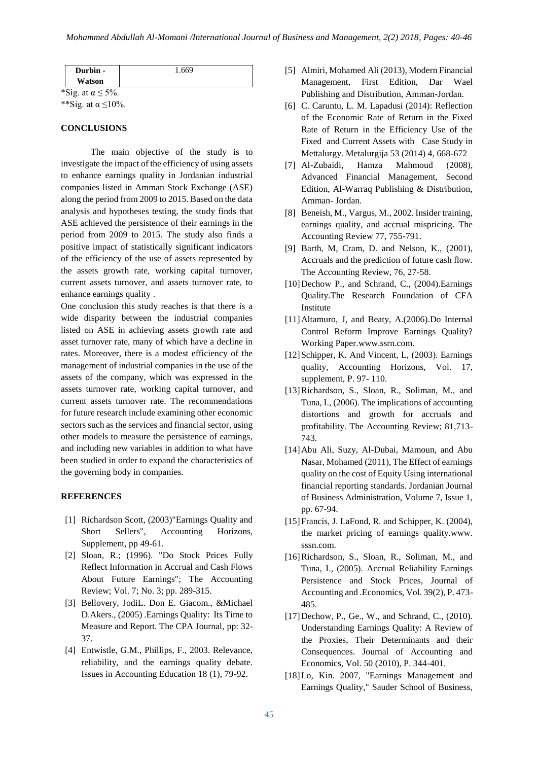| Durbin -                     | 1.669 |
|------------------------------|-------|
| Watson                       |       |
| *Sig. at $\alpha \leq 5\%$ . |       |

\*\*Sig. at  $\alpha \leq 10\%$ .

## **CONCLUSIONS**

The main objective of the study is to investigate the impact of the efficiency of using assets to enhance earnings quality in Jordanian industrial companies listed in Amman Stock Exchange (ASE) along the period from 2009 to 2015. Based on the data analysis and hypotheses testing, the study finds that ASE achieved the persistence of their earnings in the period from 2009 to 2015. The study also finds a positive impact of statistically significant indicators of the efficiency of the use of assets represented by the assets growth rate, working capital turnover, current assets turnover, and assets turnover rate, to enhance earnings quality .

One conclusion this study reaches is that there is a wide disparity between the industrial companies listed on ASE in achieving assets growth rate and asset turnover rate, many of which have a decline in rates. Moreover, there is a modest efficiency of the management of industrial companies in the use of the assets of the company, which was expressed in the assets turnover rate, working capital turnover, and current assets turnover rate. The recommendations for future research include examining other economic sectors such as the services and financial sector, using other models to measure the persistence of earnings, and including new variables in addition to what have been studied in order to expand the characteristics of the governing body in companies.

## **REFERENCES**

- [1] Richardson Scott, (2003)"Earnings Quality and Short Sellers", Accounting Horizons, Supplement, pp 49-61.
- [2] Sloan, R.; (1996). "Do Stock Prices Fully Reflect Information in Accrual and Cash Flows About Future Earnings"; The Accounting Review; Vol. 7; No. 3; pp. 289-315.
- [3] Bellovery, JodiL. Don E. Giacom., &Michael D.Akers., (2005) .Earnings Quality: Its Time to Measure and Report. The CPA Journal, pp: 32- 37.
- [4] Entwistle, G.M., Phillips, F., 2003. Relevance, reliability, and the earnings quality debate. Issues in Accounting Education 18 (1), 79-92.
- [5] Almiri, Mohamed Ali (2013), Modern Financial Management, First Edition, Dar Wael Publishing and Distribution, Amman-Jordan.
- [6] C. Caruntu, L. M. Lapadusi (2014): Reflection of the Economic Rate of Return in the Fixed Rate of Return in the Efficiency Use of the Fixed and Current Assets with Case Study in Mettalurgy. Metalurgija 53 (2014) 4, 668-672
- [7] Al-Zubaidi, Hamza Mahmoud (2008), Advanced Financial Management, Second Edition, Al-Warraq Publishing & Distribution, Amman- Jordan.
- [8] Beneish, M., Vargus, M., 2002. Insider training, earnings quality, and accrual mispricing. The Accounting Review 77, 755-791.
- [9] Barth, M, Cram, D. and Nelson, K., (2001), Accruals and the prediction of future cash flow. The Accounting Review, 76, 27-58.
- [10]Dechow P., and Schrand, C., (2004). Earnings Quality.The Research Foundation of CFA Institute
- [11] Altamuro, J, and Beaty, A.(2006).Do Internal Control Reform Improve Earnings Quality? Working Paper.www.ssrn.com.
- [12] Schipper, K. And Vincent, L. (2003). Earnings quality, Accounting Horizons, Vol. 17, supplement, P. 97- 110.
- [13]Richardson, S., Sloan, R., Soliman, M., and Tuna, I., (2006). The implications of accounting distortions and growth for accruals and profitability. The Accounting Review; 81,713- 743.
- [14]Abu Ali, Suzy, Al-Dubai, Mamoun, and Abu Nasar, Mohamed (2011), The Effect of earnings quality on the cost of Equity Using international financial reporting standards. Jordanian Journal of Business Administration, Volume 7, Issue 1, pp. 67-94.
- [15] Francis, J. LaFond, R. and Schipper, K. (2004), the market pricing of earnings quality.www. sssn.com.
- [16]Richardson, S., Sloan, R., Soliman, M., and Tuna, I., (2005). Accrual Reliability Earnings Persistence and Stock Prices, Journal of Accounting and .Economics, Vol. 39(2), P. 473- 485.
- [17] Dechow, P., Ge., W., and Schrand, C., (2010). Understanding Earnings Quality: A Review of the Proxies, Their Determinants and their Consequences. Journal of Accounting and Economics, Vol. 50 (2010), P. 344-401.
- [18]Lo, Kin. 2007, "Earnings Management and Earnings Quality," Sauder School of Business,